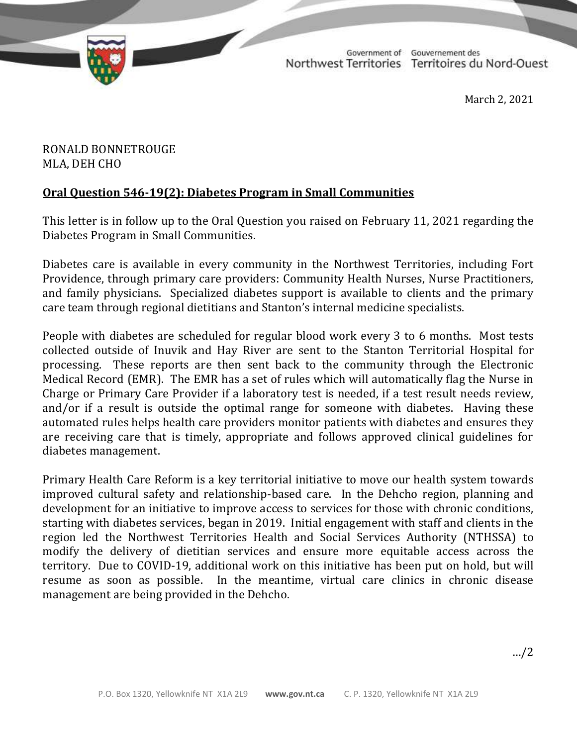TD 338-19(2) TABLED ON MARCH 3, 2021

Government of Gouvernement des Northwest Territories Territoires du Nord-Ouest

March 2, 2021

## RONALD BONNETROUGE MLA, DEH CHO

## **Oral Question 546-19(2): Diabetes Program in Small Communities**

This letter is in follow up to the Oral Question you raised on February 11, 2021 regarding the Diabetes Program in Small Communities.

Diabetes care is available in every community in the Northwest Territories, including Fort Providence, through primary care providers: Community Health Nurses, Nurse Practitioners, and family physicians. Specialized diabetes support is available to clients and the primary care team through regional dietitians and Stanton's internal medicine specialists.

People with diabetes are scheduled for regular blood work every 3 to 6 months. Most tests collected outside of Inuvik and Hay River are sent to the Stanton Territorial Hospital for processing. These reports are then sent back to the community through the Electronic Medical Record (EMR). The EMR has a set of rules which will automatically flag the Nurse in Charge or Primary Care Provider if a laboratory test is needed, if a test result needs review, and/or if a result is outside the optimal range for someone with diabetes. Having these automated rules helps health care providers monitor patients with diabetes and ensures they are receiving care that is timely, appropriate and follows approved clinical guidelines for diabetes management.

Primary Health Care Reform is a key territorial initiative to move our health system towards improved cultural safety and relationship-based care. In the Dehcho region, planning and development for an initiative to improve access to services for those with chronic conditions, starting with diabetes services, began in 2019. Initial engagement with staff and clients in the region led the Northwest Territories Health and Social Services Authority (NTHSSA) to modify the delivery of dietitian services and ensure more equitable access across the territory. Due to COVID-19, additional work on this initiative has been put on hold, but will resume as soon as possible. In the meantime, virtual care clinics in chronic disease management are being provided in the Dehcho.

…/2